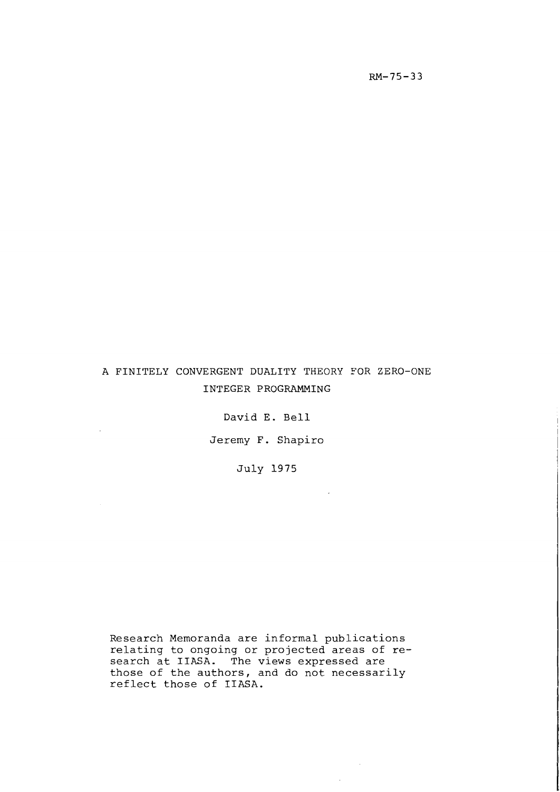$RM-75-33$ 

# A FINITELY CONVERGENT DUALITY THEORY FOR ZERO-ONE INTEGER PROGRAMMING

David E. Bell

Jeremy F. Shapiro

 $\sim 10^{-11}$ 

July 1975

 $\mathcal{L}^{\text{max}}_{\text{max}}$  ,  $\mathcal{L}^{\text{max}}_{\text{max}}$ 

 $\sim 10$ 

 $\hat{\mathcal{A}}$ 

Research Memoranda are informal publications relating to ongoing or projected areas of research at IIASA. The views expressed are those of the authors, and do not necessarily reflect those of IIASA.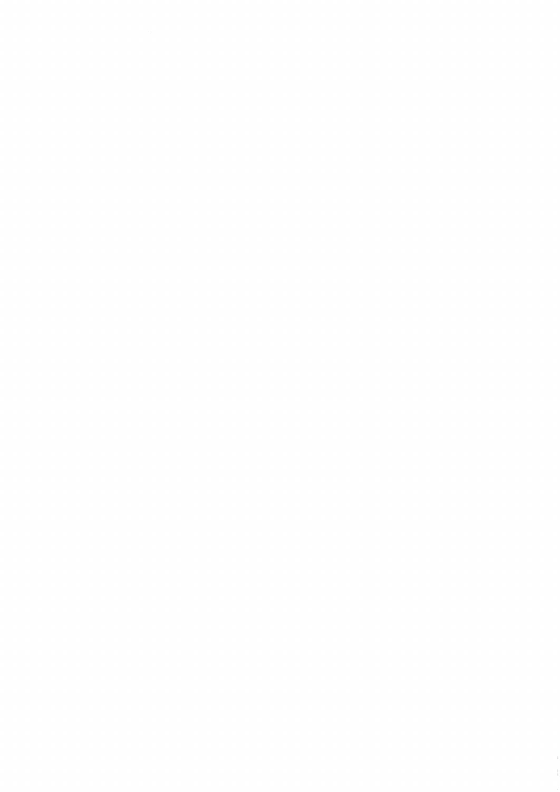$\label{eq:2} \frac{1}{\sqrt{2}}\left(\frac{1}{\sqrt{2}}\right)^{2} \left(\frac{1}{\sqrt{2}}\right)^{2} \left(\frac{1}{\sqrt{2}}\right)^{2} \left(\frac{1}{\sqrt{2}}\right)^{2} \left(\frac{1}{\sqrt{2}}\right)^{2} \left(\frac{1}{\sqrt{2}}\right)^{2} \left(\frac{1}{\sqrt{2}}\right)^{2} \left(\frac{1}{\sqrt{2}}\right)^{2} \left(\frac{1}{\sqrt{2}}\right)^{2} \left(\frac{1}{\sqrt{2}}\right)^{2} \left(\frac{1}{\sqrt{2}}\right)^{2} \left(\frac{$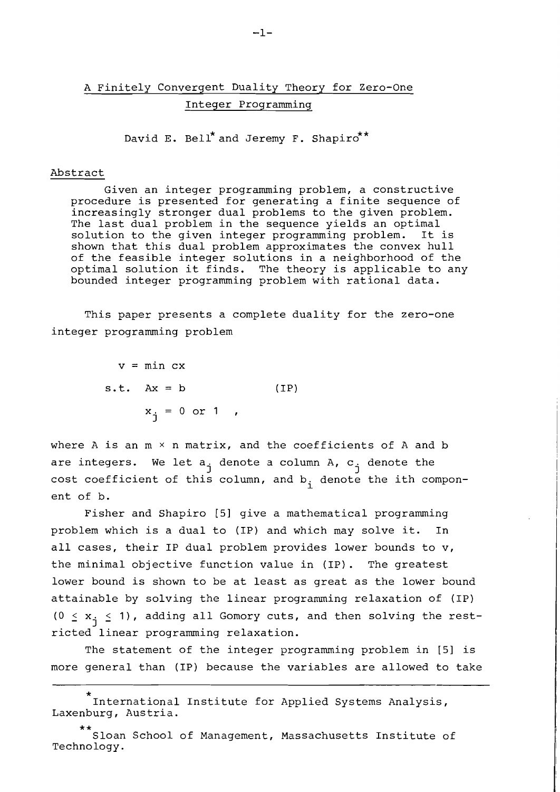## A Finitely Convergent Duality Theory for Zero-One Integer Programming

David E. Bell<sup>\*</sup> and Jeremy F. Shapiro<sup>\*\*</sup>

#### Abstract

Given an integer programming problem, a constructive procedure is presented for generating a finite sequence of increasingly stronger dual problems to the given problem. The last dual problem in the sequence yields an optimal<br>solution to the given integer programming problem. It is solution to the given integer programming problem. shown that this dual problem approximates the convex hull of the feasible integer solutions in a neighborhood of the optimal solution it finds. The theory is applicable to any bounded integer programming problem with rational data.

This paper presents a complete duality for the zero-one integer programming problem

> $v = min c x$  $s.t. Ax = b$  $(IP)$  $x_i = 0 \text{ or } 1$ ,

where A is an  $m \times n$  matrix, and the coefficients of A and b are integers. We let  $a_j$  denote a column A,  $c_j$  denote the cost coefficient of this column, and  $b<sub>i</sub>$  denote the ith component of b.

Fisher and Shapiro [5] give a mathematical programming problem which is a dual to (IP) and which may solve it. In all cases, their IP dual problem provides lower bounds to v, the minimal objective function value in (IP). The greatest lower bound is shown to be at least as great as the lower bound attainable by solving the linear programming relaxation of (IP) (0  $\leq$  x<sub>i</sub>  $\leq$  1), adding all Gomory cuts, and then solving the restricted linear programming relaxation.

The statement of the integer programming problem in [5] is more general than (IP) because the variables are allowed to take

<sup>\*</sup>  International Institute for Applied Systems Analysis, Laxenburg, Austria.

<sup>\*\*</sup>  Sloan School of Management, Massachusetts Institute of Technology.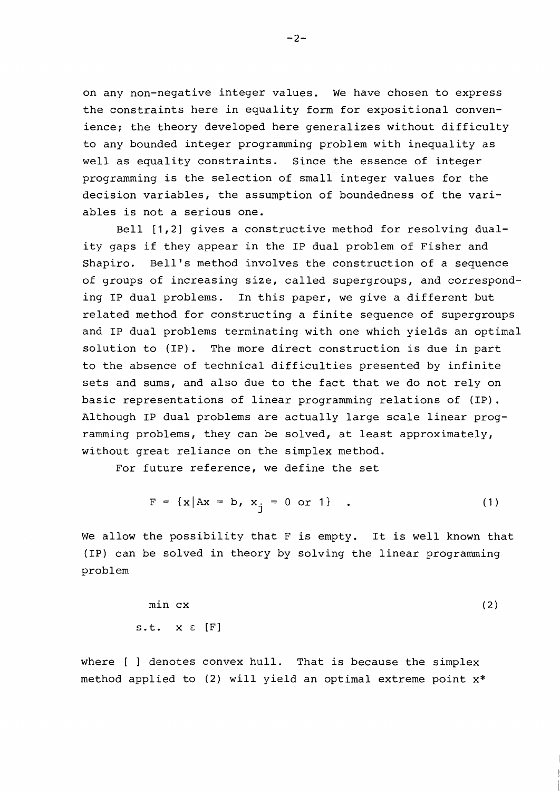on any non-negative integer values. We have chosen to express the constraints here in equality form for expositional convenience; the theory developed here generalizes without difficulty to any bounded integer programming problem with inequality as well as equality constraints. Since the essence of integer programming is the selection of small integer values for the decision variables, the assumption of boundedness of the variables is not a serious one.

Bell [1,2] gives a constructive method for resolving duality gaps if they appear in the IP dual problem of Fisher and Shapiro. Bell's method involves the construction of a sequence of groups of increasing size, called supergroups, and corresponding IP dual problems. In this paper, we give a different but related method for constructing a finite sequence of supergroups and IP dual problems terminating with one which yields an optimal solution to (IP). The more direct construction is due in part to the absence of technical difficulties presented by infinite sets and sums, and also due to the fact that we do not rely on basic representations of linear programming relations of (IP). Although IP dual problems are actually large scale linear programming problems, they can be solved, at least approximately, without great reliance on the simplex method.

For future reference, we define the set

$$
F = \{x \mid Ax = b, x_j = 0 \text{ or } 1\} \quad . \tag{1}
$$

We allow the possibility that F is empty. It is well known that (IP) can be solved in theory by solving the linear programming problem

$$
\min c \mathbf{x} \tag{2}
$$
\n
$$
\text{s.t.} \quad \mathbf{x} \in [F]
$$

where [ ] denotes convex hull. That is because the simplex method applied to (2) will yield an optimal extreme point x\*

 $-2-$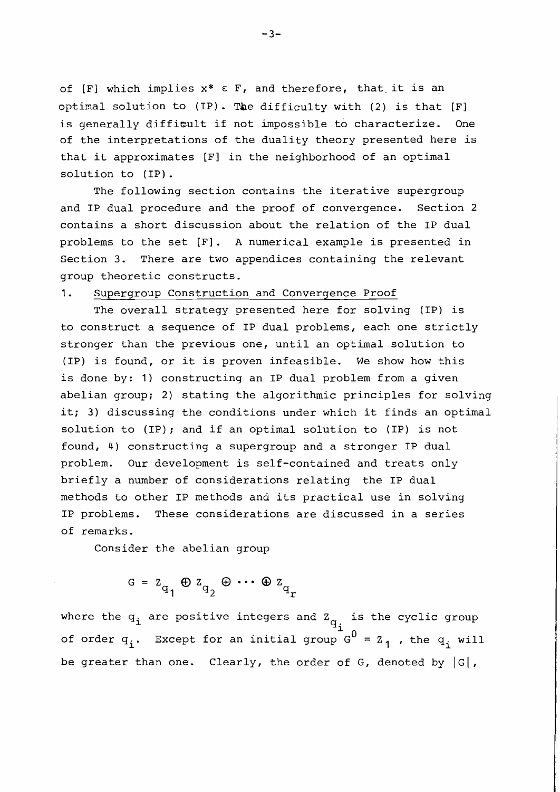of [F] which implies  $x^* \in F$ , and therefore, that it is an optimal solution to (IP) . Tbe difficulty with (2) is that [F] is generally difficult if not impossible to characterize. One of the interpretations of the duality theory presented here is that it approximates [F] in the neighborhood of an optimal solution to (IP).

The following section contains the iterative supergroup and IP dual procedure and the proof of convergence. Section 2 contains a short discussion about the relation of the IP dual problems to the set [Fl. A numerical example is presented in Section 3. There are two appendices containing the relevant group theoretic constructs.

### 1. Supergroup Construction and Convergence Proof

The overall strategy presented here for solving (IP) is to construct a sequence of IP dual problems, each one strictly stronger than the previous one, until an optimal solution to (IP) is found, or it is proven infeasible. We show how this is done by: 1) constructing an IP dual problem from a given abelian group; 2) stating the algorithmic principles for solving it; 3) discussing the conditions under which it finds an optimal solution to (IP); and if an optimal solution to (IP) is not found, 4) constructing a supergroup and a stronger IP dual problem. Our development is self-contained and treats only briefly a number of considerations relating the IP dual methods to other IP methods and its practical use in solving IP problems. These considerations are discussed in a series of remarks.

Consider the abelian group

$$
G = z_{q_1} \oplus z_{q_2} \oplus \cdots \oplus z_{q_r}
$$

where the  $q_i$  are positive integers and  $z_{q_i}$  is the cyclic group of order  $q_i$ . Except for an initial group  $G^0 = Z_1$ , the  $q_i$  will be greater than one. Clearly, the order of G, denoted by  $|G|$ ,

 $-3-$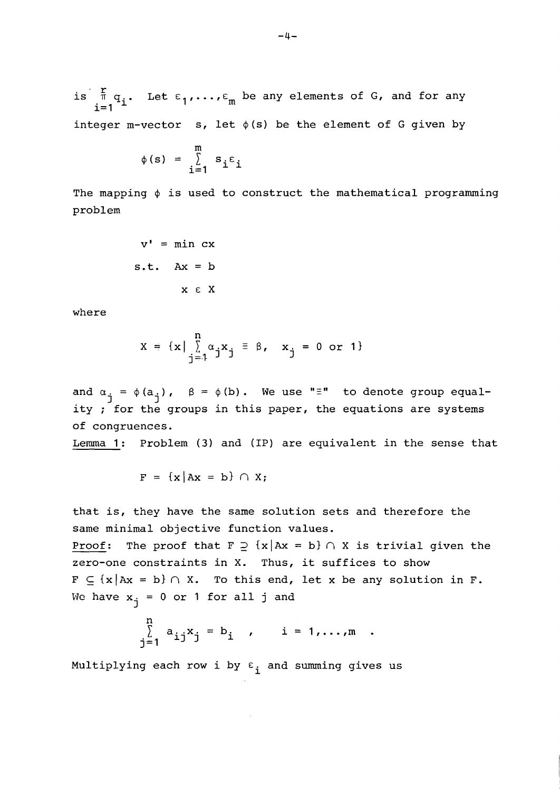is  $\frac{r}{\pi}$   $q_i$ . Let  $\epsilon_1$ ,..., $\epsilon_m$  be any elements of G, and for any  $\begin{array}{c} \pi \ q \ i = 1 \end{array}$ integer m-vector s, let  $\phi(s)$  be the element of G given by

$$
\phi(s) = \sum_{i=1}^{m} s_i \varepsilon_i
$$

The mapping  $\phi$  is used to construct the mathematical programming problem

$$
v' = min cx
$$
  
s.t.  $Ax = b$   
 $x \in X$ 

where

$$
X = \{x \mid \sum_{j=1}^{n} \alpha_j x_j \equiv \beta, \quad x_j = 0 \text{ or } 1\}
$$

and  $\alpha_{i} = \phi(a_{i}), \quad \beta = \phi(b)$ . We use "<sup>=</sup>" to denote group equality ; for the groups in this paper, the equations are systems of congruences.

Lemma 1: Problem **(3)** and (IP) are equivalent in the sense that

$$
F = \{x \mid Ax = b\} \cap X;
$$

that is, they have the same solution sets and therefore the same minimal objective function values. Proof: The proof that  $F \supseteq \{x \mid Ax = b\} \cap X$  is trivial given the zero-one constraints in X. Thus, it suffices to show  $F \subseteq \{x \mid Ax = b\} \cap X$ . To this end, let x be any solution in F. We have  $x_j = 0$  or 1 for all j and

$$
\sum_{j=1}^{n} a_{ij} x_{j} = b_{i} , i = 1,...,m .
$$

Multiplying each row i by  $\varepsilon$ <sub>i</sub> and summing gives us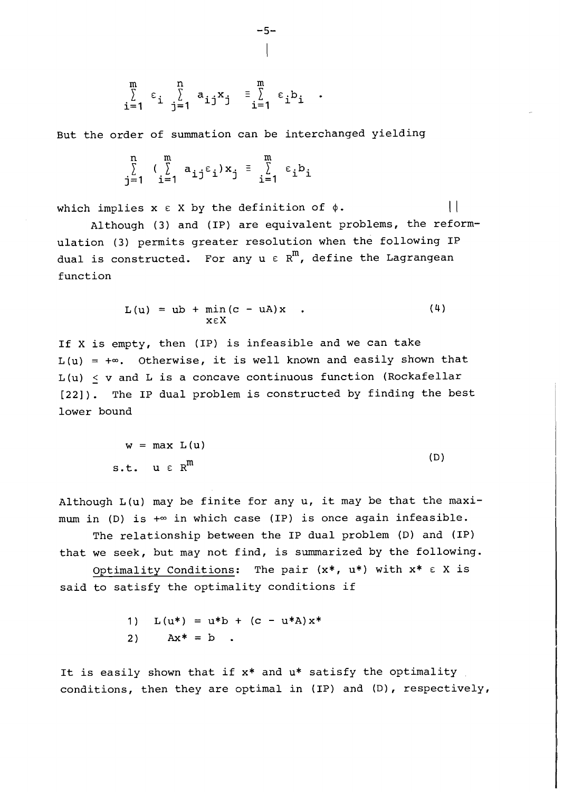$$
\sum_{i=1}^{m} \varepsilon_i \sum_{j=1}^{n} a_{ij} x_j = \sum_{i=1}^{m} \varepsilon_i b_i
$$

But the order of summation can be interchanged yielding

$$
\sum_{j=1}^{n} (\sum_{i=1}^{m} a_{ij} \epsilon_i) x_j \equiv \sum_{i=1}^{m} \epsilon_i b_i
$$

which implies  $x \in X$  by the definition of  $\phi$ .

Although (3) and (IP) are equivalent problems, the reformulation (3) permits greater resolution when the following IP dual is constructed. For any  $u \in R^m$ , define the Lagrangean function

$$
L(u) = ub + min(c - uA)x
$$
 (4)

If X is empty, then (IP) is infeasible and we can take  $L(u) = +\infty$ . Otherwise, it is well known and easily shown that  $L(u) \le v$  and  $L$  is a concave continuous function (Rockafellar [22]). The IP dual problem is constructed by finding the best lower bound

$$
w = max L(u)
$$
  
s.t.  $u \in R^m$  (D)

Although L(u) may be finite for any u, it may be that the maximum in (D) is **+a** in which case (IP) is once again infeasible.

The relationship between the IP dual problem (D) and (IP) that we seek, but may not find, is summarized by the following.

Optimality Conditions: The pair  $(x*, u*)$  with  $x* \varepsilon X$  is said to satisfy the optimality conditions if

> 1)  $L(u^*) = u^*b + (c - u^*A)x^*$  $2)$  $Ax^* = b$ .

It is easily shown that if  $x^*$  and  $u^*$  satisfy the optimality conditions, then they are optimal in (IP) and (D), respectively,

$$
-5-
$$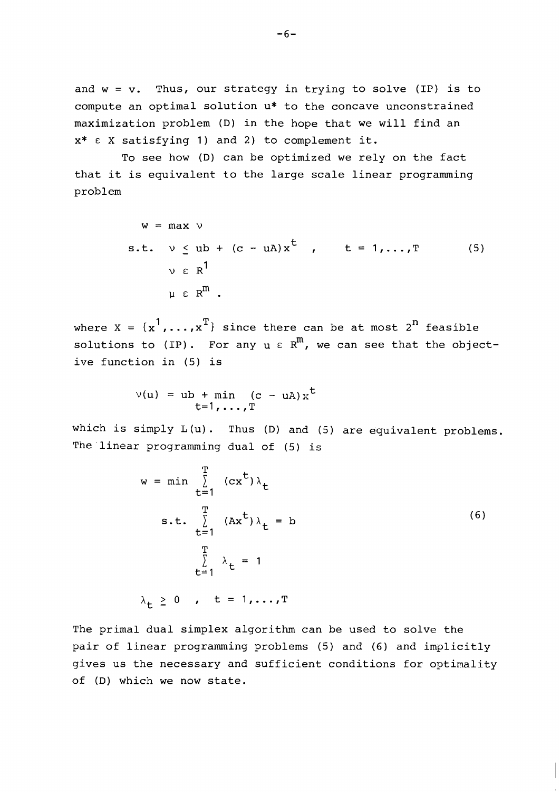and  $w = v$ . Thus, our strategy in trying to solve (IP) is to compute an optimal solution u\* to the concave unconstrained maximization problem (D) in the hope that we will find an  $x^*$   $\epsilon$  X satisfying 1) and 2) to complement it.

To see how (D) can be optimized we rely on the fact that it is equivalent to the large scale linear programming problem

$$
w = \max \space \upsilon
$$
  
s.t. 
$$
\upsilon \leq ub + (c - uA)x^{t} , \qquad t = 1,...,T
$$
  

$$
\upsilon \in R^{1}
$$
  

$$
\upsilon \in R^{m} .
$$
 (5)

where  $X = \{x^1, \ldots, x^T\}$  since there can be at most 2<sup>n</sup> feasible solutions to (IP). For any  $u \in R^m$ , we can see that the objective function in (5) is

$$
v(u) = ub + min (c - uA)x^{t}
$$
  
t=1,...,T

which is simply  $L(u)$ . Thus (D) and (5) are equivalent problems. The linear programming dual of (5) is

$$
w = \min \sum_{t=1}^{T} (cx^{t}) \lambda_{t}
$$
  
s.t. 
$$
\sum_{t=1}^{T} (Ax^{t}) \lambda_{t} = b
$$
  

$$
\sum_{t=1}^{T} \lambda_{t} = 1
$$
  

$$
\lambda_{t} \geq 0, \quad t = 1,...,T
$$
 (6)

The primal dual simplex algorithm can be used to solve the pair of linear programming problems (5) and (6) and implicitly gives us the necessary and sufficient conditions for optimality of **(D)** which we now state.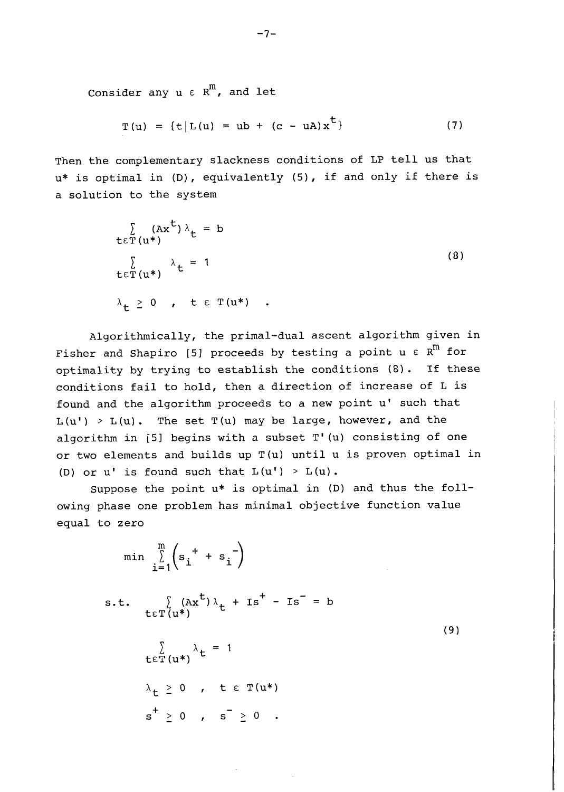Consider any  $u \in R^m$ , and let

$$
T(u) = {t | L(u) = ub + (c - uA)x^{L}}
$$
 (7)

 $\mathbf{r}$ 

Then the complementary slackness conditions of LP tell us that u\* is optimal in (D), equivalently (5), if and only if there is a solution to the system

$$
\sum_{t \in T} (Ax^{t}) \lambda_{t} = b
$$
\n
$$
\sum_{t \in T} (u^{*}) \lambda_{t} = 1
$$
\n
$$
\lambda_{t} \geq 0, \quad t \in T(u^{*}).
$$
\n(8)

Algorithmically, the primal-dual ascent algorithm given in Fisher and Shapiro [5] proceeds by testing a point  $u \in R^{m}$  for optimality by trying to establish the conditions (8). If these conditions fail to hold, then a direction of increase of L is found and the algorithm proceeds to a new point u' such that  $L(u') > L(u)$ . The set  $T(u)$  may be large, however, and the algorithm in  $[5]$  begins with a subset  $T'(u)$  consisting of one or two elements and builds up T(u) until u is proven optimal in (D) or u' is found such that  $L(u') > L(u)$ .

Suppose the point u\* is optimal in (D) and thus the following phase one problem has minimal objective function value equal to zero

$$
\min \sum_{i=1}^{m} \left( s_i^+ + s_i^- \right)
$$
\ns.t. 
$$
\sum_{t \in T} (Ax^t) \lambda_t + Is^+ - Is^- = b
$$
\n
$$
\sum_{t \in T} \left( u^* \right) \lambda_t = 1
$$
\n
$$
\lambda_t \geq 0, \quad t \in T(u^*)
$$
\n
$$
s^+ \geq 0, \quad s^- \geq 0.
$$
\n(9)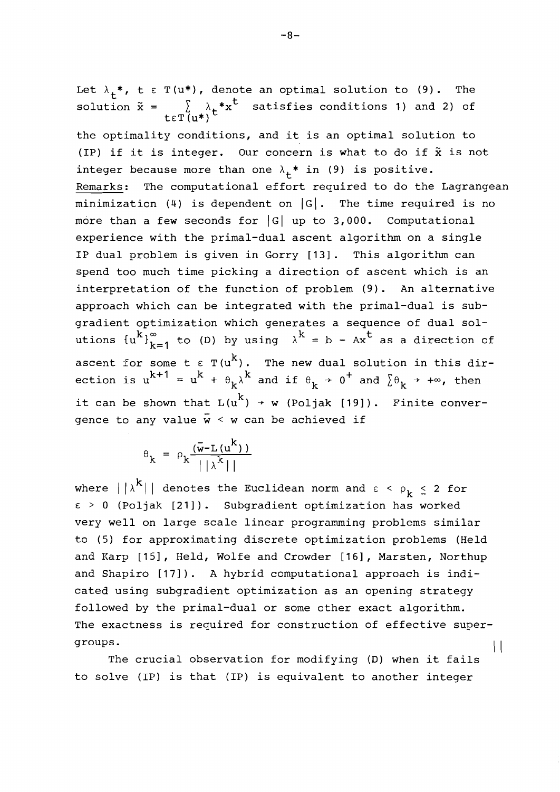Let  $\lambda_t^*$ , t  $\epsilon$  T(u<sup>\*</sup>), denote an optimal solution to (9). The solution  $\tilde{x} = \int \lambda_t * x^t$  satisfies conditions 1) and 2) of  $\tt E T (u^*)$   $\sim$ the optimality conditions, and it is an optimal solution to (IP) if it is integer. Our concern is what to do if **2** is not integer because more than one  $\lambda_{+}$ \* in (9) is positive. Remarks: The computational effort required to do the Lagrangean minimization (4) is dependent on  $|G|$ . The time required is no more than a few seconds for |G| up to 3,000. Computational experience with the primal-dual ascent algorithm on a single IP dual problem is given in Gorry [13]. This algorithm can spend too much time picking a direction of ascent which is an interpretation of the function of problem (9). An alternative approach which can be integrated with the primal-dual is subgradient optimization which generates a sequence of dual solutions  ${u^k}_{k=1}^{\infty}$  to (D) by using  $\lambda^k = b - Ax^t$  as a direction of ascent for some t  $\epsilon$  T(u<sup>k</sup>). The new dual solution in this direction is  $u^{k+1} = u^k + \theta_k \lambda^k$  and if  $\theta_k \rightarrow 0^+$  and  $\delta \theta_k \rightarrow +\infty$ , then it can be shown that  $L(u^k) \rightarrow w$  (Poljak [19]). Finite convergence to any value  $\bar{w}$  < w can be achieved if

$$
\theta_{k} = \rho_{k} \frac{(\overline{w} - L(u^{k}))}{||\lambda^{k}||}
$$

where  $||\lambda^k||$  denotes the Euclidean norm and  $\varepsilon < \rho_k \leq 2$  for  $\epsilon$  > 0 (Poljak [21]). Subgradient optimization has worked very well on large scale linear programming problems similar to (5) for approximating discrete optimization problems (Held and Karp [15], Held, Wolfe and Crowder [16], Marsten, Northup and Shapiro [17]). A hybrid computational approach is indicated using subgradient optimization as an opening strategy followed by the primal-dual or some other exact algorithm. The exactness is required for construction of effective supergroups.  $\mathbf{1}$ 

The crucial observation for modifying **(D)** when it fails to solve (IP) is that (IP) is equivalent to another integer

 $-8-$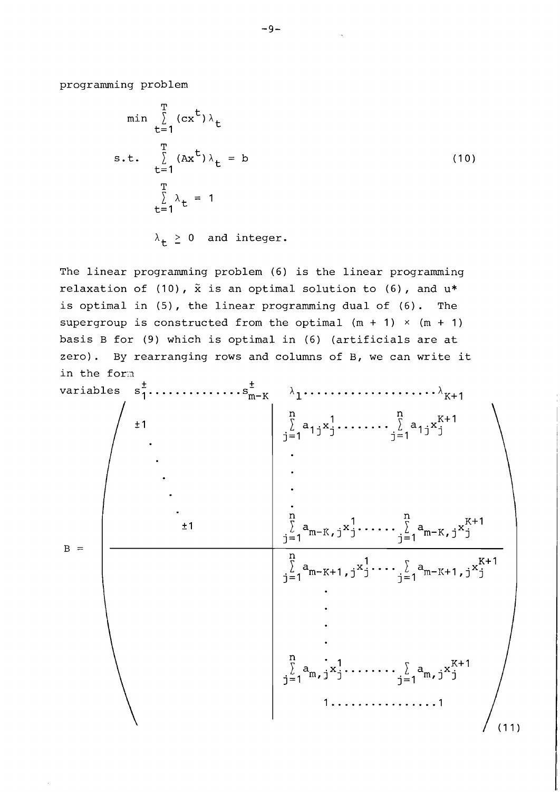programming problem

$$
\min \sum_{t=1}^{T} (cx^{t}) \lambda_{t}
$$
\ns.t. 
$$
\sum_{t=1}^{T} (Ax^{t}) \lambda_{t} = b
$$
\n
$$
\sum_{t=1}^{T} \lambda_{t} = 1
$$
\n
$$
\lambda_{t} \geq 0 \text{ and integer.}
$$
\n(10)

The linear programming problem (6) is the linear programming relaxation of  $(10)$ ,  $\tilde{x}$  is an optimal solution to  $(6)$ , and  $u^*$ is optimal in (5), the linear programming dual of (6). The supergroup is constructed from the optimal  $(m + 1) \times (m + 1)$ basis B for (9) which is optimal in (6) (artificials are at zero). By rearranging rows and columns of B, we can write it in the fora

| variables | $s_1^{\pm}$ $s_{m-K}^{\pm}$ | $\lambda$ <sub>1</sub><br>$\cdots \cdots \lambda_{K+1}$                                |
|-----------|-----------------------------|----------------------------------------------------------------------------------------|
| $B =$     | ±1                          | $\sum_{j=1}^{n} a_{1j} x_{j}^{1} \dots \dots \sum_{j=1}^{n} a_{1j} x_{j}^{K+1}$        |
|           |                             |                                                                                        |
|           | ±1                          | $\sum_{j=1}^{n} a_{m-\bar{K},j} x_j^1 \cdots \sum_{j=1}^{n} a_{m-\bar{K},j} x_j^{K+1}$ |
|           |                             | $\sum_{j=1}^{n} a_{m-K+1}, \sum_{j=1}^{n} a_{m-K+1}, \sum_{j=1}^{k+1} a_{m-K+1}$       |
|           |                             |                                                                                        |
|           |                             | $\sum_{j=1}^{n} a_{m,j} x_j^1 \cdots \cdots \sum_{j=1}^{n} a_{m,j} x_j^{K+1}$          |
|           |                             | . 1<br>(11)                                                                            |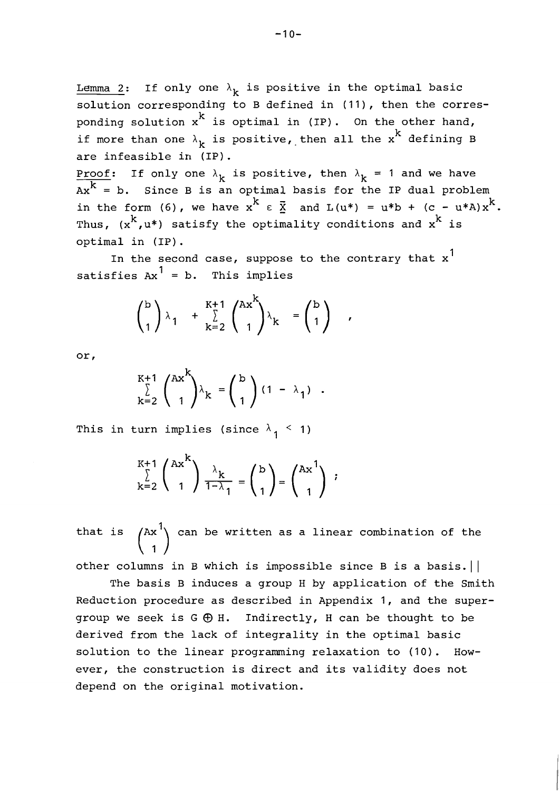Lemma 2: If only one  $\lambda_k$  is positive in the optimal basic solution corresponding to B defined in (11), then the corresponding solution  $x^k$  is optimal in (IP). On the other hand, if more than one  $\lambda_k$  is positive, then all the  $x^k$  defining B are infeasible in (IP).

Proof: If only one  $\lambda_k$  is positive, then  $\lambda_k = 1$  and we have  $\overline{A x^{k}}$  = b. Since B is an optimal basis for the IP dual problem in the form (6), we have  $x^k \in \overline{X}$  and  $L(u^*) = u^*b + (c - u^*A)x^k$ . Thus,  $(x^{k},u^{*})$  satisfy the optimality conditions and  $x^{k}$  is optimal in (IP).

In the second case, suppose to the contrary that  $x^1$ satisfies  $Ax^1 = b$ . This implies

$$
\binom{b}{1} \lambda_1 + \sum_{k=2}^{K+1} \binom{Ax^{k}}{1} \lambda_k = \binom{b}{1}
$$

or,

$$
\sum_{k=2}^{K+1} {\binom{Ax^{k}}{1}} \lambda_{k} = {\binom{b}{1}} (1 - \lambda_{1}) .
$$

This in turn implies (since  $\lambda_1$  < 1)

$$
\sum_{k=2}^{K+1} \binom{Ax^{k}}{1} \frac{\lambda_{k}}{1-\lambda_{1}} = \binom{b}{1} = \binom{Ax^{1}}{1} ;
$$

that is  $\begin{pmatrix} Ax^1 \\ 1 \end{pmatrix}$  can be written as a linear combination of the

other columns in B which is impossible since B is a basis. | |

The basis B induces a group H by application of the Smith Reduction procedure as described in Appendix 1, and the supergroup we seek is  $G \oplus H$ . Indirectly, H can be thought to be derived from the lack of integrality in the optimal basic solution to the linear programming relaxation to (10). However, the construction is direct and its validity does not depend on the original motivation.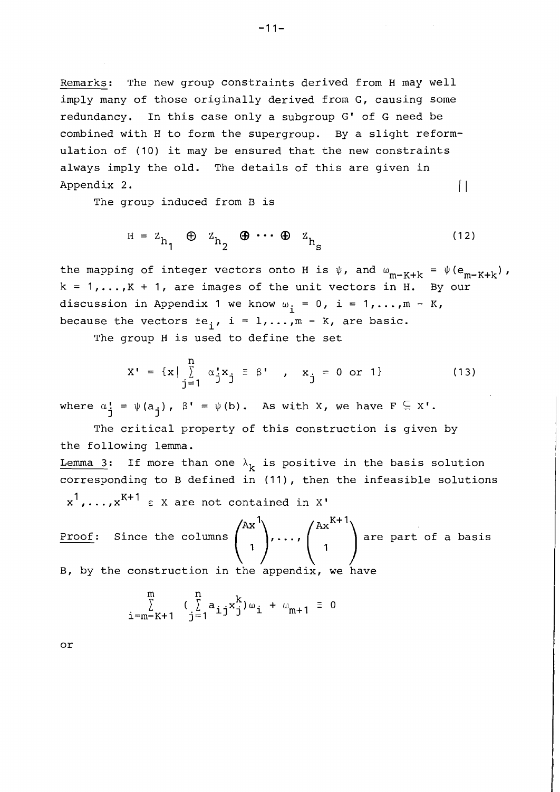Remarks: The new group constraints derived from H may well imply many of those originally derived from G, causing some redundancy. In this case only a subgroup G' of G need be combined with H to form the supergroup. By a slight reformulation of (10) it may be ensured that the new constraints always imply the old. The details of this are given in Appendix 2.  $|$ 

The group induced from B is

$$
H = Z_{h_1} \oplus Z_{h_2} \oplus \cdots \oplus Z_{h_s} \tag{12}
$$

the mapping of integer vectors onto H is  $\psi$ , and  $\omega_{m-K+k} = \psi(e_{m-K+k})$ ,  $k = 1, \ldots, K + 1$ , are images of the unit vectors in H. By our discussion in Appendix 1 we know  $\omega_i = 0$ , i = 1,..., m - K, because the vectors  $te_i$ ,  $i = 1, ..., m - K$ , are basic.

The group H is used to define the set

$$
X' = \{x \mid \sum_{j=1}^{n} \alpha_j^{i} x_j \equiv \beta' \quad , \quad x_j = 0 \text{ or } 1\}
$$
 (13)

where  $\alpha_j^* = \psi(a_j)$ ,  $\beta' = \psi(b)$ . As with X, we have  $F \subseteq X'$ .

The critical property of this construction is given by the following lemma.

Lemma 3: If more than one  $\lambda_k$  is positive in the basis solution corresponding to B defined in (11), then the infeasible solutions  $x^1, \ldots, x^{K+1}$   $\epsilon$  X are not contained in X'

<u>Proof</u>: Since the columns  $\begin{pmatrix} Ax^1 \\ 1 \end{pmatrix}$ ,...,  $\begin{pmatrix} Ax^{K+1} \\ 1 \end{pmatrix}$  are part of a basis B, by the construction in the appendix, we have

$$
\sum_{i=m-K+1}^{m} (\sum_{j=1}^{n} a_{ij} x_{j}^{k}) \omega_{i} + \omega_{m+1} \equiv 0
$$

or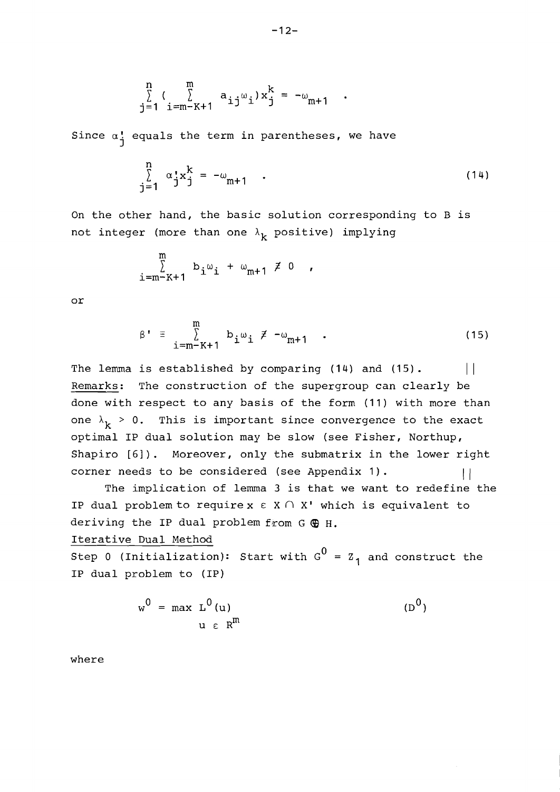$$
\sum_{j=1}^{n} (\sum_{i=m-K+1}^{m} a_{ij} \omega_i) x_j^{k} = -\omega_{m+1}
$$

Since  $\alpha$  <sup>'</sup> equals the term in parentheses, we have

$$
\sum_{j=1}^{n} \alpha_{j}^{i} x_{j}^{k} = -\omega_{m+1} \quad . \tag{14}
$$

On the other hand, the basic solution corresponding to B is not integer (more than one  $\lambda_k$  positive) implying

$$
\sum_{i=m-K+1}^{m} b_i \omega_i + \omega_{m+1} \neq 0 ,
$$

or

$$
\beta' \equiv \sum_{i=m-K+1}^{m} b_i \omega_i \not\equiv -\omega_{m+1} \quad . \tag{15}
$$

The lemma is established by comparing  $(14)$  and  $(15)$ .  $||$ Remarks: The construction of the supergroup can clearly be done with respect to any basis of the form (11) with more than one  $\lambda_k$  > 0. This is important since convergence to the exact optimal IP dual solution may be slow (see Fisher, Northup, Shapiro **[6]).** Moreover, only the submatrix in the lower right corner needs to be considered (see Appendix 1).

The implication of lemma **3** is that we want to redefine the IP dual problem to require  $x \in X \cap X'$  which is equivalent to deriving the IP dual problem from  $G \oplus H$ .

Iterative Dual Method

Step 0 (Initialization): Start with  $G^0 = Z_1$  and construct the IP dual problem to (IP)

$$
w^{0} = \max_{u \in R^{m}} L^{0}(u)
$$
 (D<sup>0</sup>)

where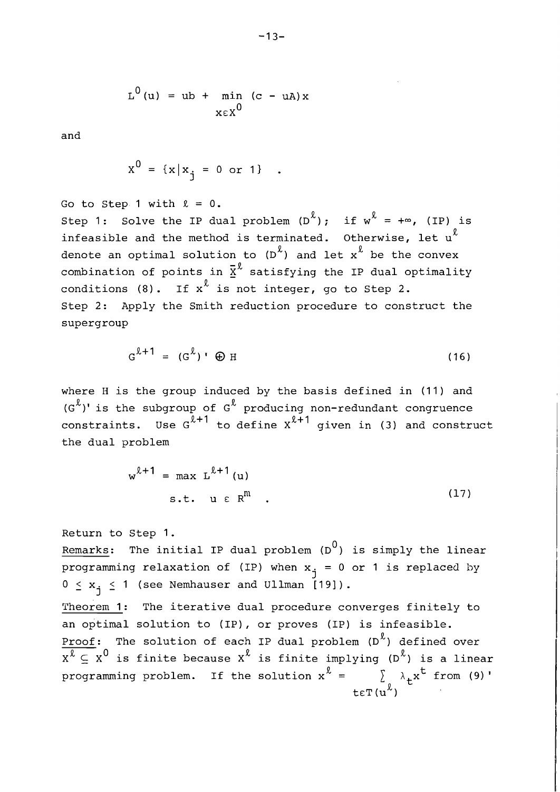$$
L^{0}(u) = ub + min (c - uA)x
$$

$$
x \in X^{0}
$$

and

$$
x^0 = \{x \mid x_i = 0 \text{ or } 1\} .
$$

Go to Step 1 with  $l = 0$ . Step 1: Solve the IP dual problem  $(D^{\ell})$ ; if  $w^{\ell} = +\infty$ , (IP) is infeasible and the method is terminated. Otherwise, let  $\mathfrak{u}^{\ell}$ denote an optimal solution to  $(D^{\ell})$  and let  $x^{\ell}$  be the convex combination of points in  $\bar{x}^{\ell}$  satisfying the IP dual optimality conditions (8). If  $x^{\ell}$  is not integer, go to Step 2. Step 2: Apply the Smith reduction procedure to construct the supergroup

$$
G^{\ell+1} = (G^{\ell})^{\dagger} \bigoplus H \tag{16}
$$

where H is the group induced by the basis defined in (11) and  $(G^{\ell})'$  is the subgroup of  $G^{\ell}$  producing non-redundant congruence constraints. Use  $G^{\overline{k}+1}$  to define  $x^{\overline{k}+1}$  given in (3) and construct the dual problem

$$
w^{\ell+1} = \max L^{\ell+1}(u)
$$
  
s.t.  $u \in R^m$  . (17)

Return to Step 1.

Remarks: The initial IP dual problem  $(D^0)$  is simply the linear programming relaxation of (IP) when  $x_j = 0$  or 1 is replaced by  $0 \leq x_{i} \leq 1$  (see Nemhauser and Ullman [19]).

Theorem 1: The iterative dual procedure converges finitely to an optimal solution to (IP), or proves (IP) is infeasible. Proof: The solution of each IP dual problem  $(D^{\ell})$  defined over  $\overline{x^{\ell}} \subseteq x^0$  is finite because  $x^{\ell}$  is finite implying (D<sup> $\ell$ </sup>) is a linear programming problem. If the solution  $x^{\ell} = \sum_{\lambda} \lambda_{\mu} x^{\mu}$  from (9)'  $\text{tr}(\mathbf{u}^{\ell})$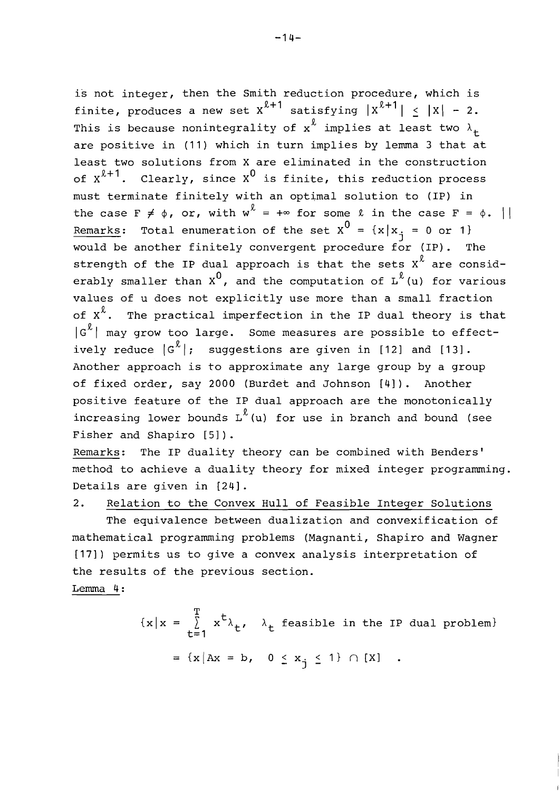is not integer, then the Smith reduction procedure, which is finite, produces a new set  $x^{k+1}$  satisfying  $|x^{k+1}| \le |x| - 2$ . This is because nonintegrality of x<sup>2</sup> implies at least two  $\lambda_+$ are positive in (11) which in turn implies by lemma 3 that at least two solutions from X are eliminated in the construction of  $x^{l+1}$ . Clearly, since  $x^0$  is finite, this reduction process must terminate finitely with an optimal solution to (IP) in the case F  $\neq$   $\phi$ , or, with  $w^{\ell}$  =  $+\infty$  for some  $\ell$  in the case F =  $\phi$ . || Remarks: Total enumeration of the set  $X^0 = {x|x_j = 0 \text{ or } 1}$ <br>would be another finitely convergent procedure for (IP). The strength of the IP dual approach is that the sets  $x^{\ell}$  are considerably smaller than  $x^0$ , and the computation of  $L^{\ell}(u)$  for various values of u does not explicitly use more than a small fraction of  $x^{\ell}$ . The practical imperfection in the IP dual theory is that  $|G^{\ell}|$  may grow too large. Some measures are possible to effectively reduce  $|G^{\ell}|$ ; suggestions are given in [12] and [13]. Another approach is to approximate any large group by a group of fixed order, say 2000 (Burdet and Johnson [4]). Another positive feature of the IP dual approach are the monotonically increasing lower bounds  $L^{R}(u)$  for use in branch and bound (see Fisher and Shapiro [5]).

Remarks: The IP duality theory can be combined with Benders' method to achieve a duality theory for mixed integer programming. Details are given in [24] .

2. Relation to the Convex Hull of Feasible Integer Solutions

The equivalence between dualization and convexification of mathematical programming problems (Magnanti, Shapiro and Wagner [171) permits us to give a convex analysis interpretation of the results of the previous section.

Lemma 4:

 $\{x \mid x = \sum_{k=1}^{n} x^{t} \lambda_{k}$ ,  $\lambda_{k}$  feasible in the IP dual problem)  $t = 1$ = { $x | Ax = b$ , 0  $\le x_j \le 1$ }  $\cap [x]$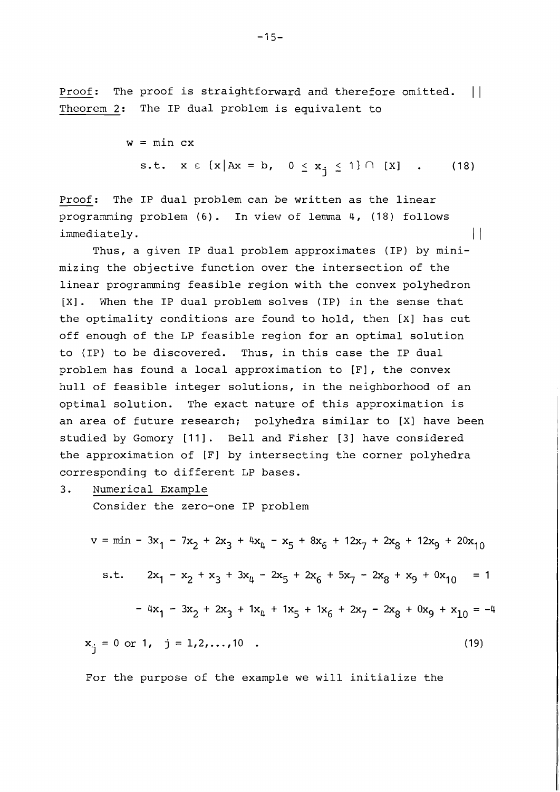Proof: The proof is straightforward and therefore omitted.  $||$ Theorem 2: The IP dual problem is equivalent to

$$
w = \min c x
$$
  
s.t.  $x \in \{x \mid Ax = b, \quad 0 \le x_{i} \le 1\} \cap [x]$ . (18)

Proof: The IP dual problem can be written as the linear programming problem (6). In view of lemma 4, (18) follows immediately. 1 and 1 and 1 and 1 and 1 and 1 and 1 and 1 and 1 and 1 and 1 and 1 and 1 and 1 and 1 and 1 and 1 and 1 and 1 and 1 and 1 and 1 and 1 and 1 and 1 and 1 and 1 and 1 and 1 and 1 and 1 and 1 and 1 and 1 and 1 and

Thus, a given IP dual problem approximates (IP) by minimizing the objective function over the intersection of the linear programming feasible region with the convex polyhedron [XI. When the IP dual problem solves (IP) in the sense that the optimality conditions are found to hold, then [XI has cut off enough of the LP feasible region for an optimal solution to (IP) to be discovered. Thus, in this case the IP dual problem has found a local approximation to [F], the convex hull of feasible integer solutions, in the neighborhood of an optimal solution. The exact nature of this approximation is an area of future research; polyhedra similar to [X] have been studied by Gomory [11]. Bell and Fisher [3] have considered the approximation of [F] by intersecting the corner polyhedra corresponding to different LP bases.

3. Numerical Example

Consider the zero-one IP problem

$$
v = \min - 3x_1 - 7x_2 + 2x_3 + 4x_4 - x_5 + 8x_6 + 12x_7 + 2x_8 + 12x_9 + 20x_{10}
$$
  
s.t. 
$$
2x_1 - x_2 + x_3 + 3x_4 - 2x_5 + 2x_6 + 5x_7 - 2x_8 + x_9 + 0x_{10} = 1
$$

$$
- 4x_1 - 3x_2 + 2x_3 + 1x_4 + 1x_5 + 1x_6 + 2x_7 - 2x_8 + 0x_9 + x_{10} = -4
$$

$$
x_j = 0 \text{ or } 1, \quad j = 1, 2, ..., 10
$$
 (19)

For the purpose of the example we will initialize the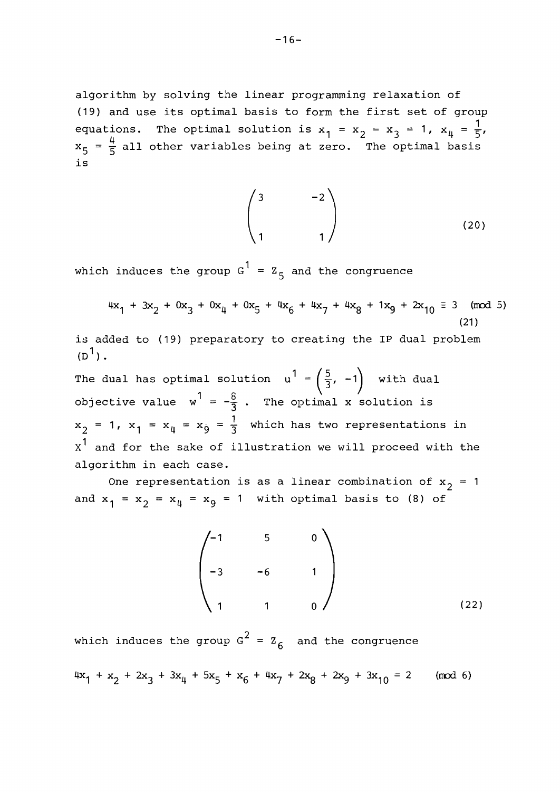algorithm by solving the linear programming relaxation of (19) and use its optimal basis to form the first set of group equations. The optimal solution is  $x_1 = x_2 = x_3 = 1$ ,  $x_4 = \frac{1}{5}$  $x_5 = \frac{4}{5}$  all other variables being at zero. The optimal basis

$$
\begin{pmatrix} 3 & & -2 \\ & & 1 \end{pmatrix}
$$
 (20)

which induces the group  $G^1 = Z_5$  and the congruence

$$
4x_1 + 3x_2 + 0x_3 + 0x_4 + 0x_5 + 4x_6 + 4x_7 + 4x_8 + 1x_9 + 2x_{10} \equiv 3 \pmod{5}
$$
  
is added to (19) preparatory to creating the IP dual problem

 $(D<sup>1</sup>)$ .

The dual has optimal solution  $u^1 = \left(\frac{5}{3}, -1\right)$  with dual objective value  $w^1 = -\frac{8}{3}$ . The optimal x solution is  $x_2 = 1$ ,  $x_1 = x_4 = x_9 = \frac{1}{3}$  which has two representations in  $x<sup>1</sup>$  and for the sake of illustration we will proceed with the algorithm in each case.

One representation is as a linear combination of  $x_2 = 1$ and  $x_1 = x_2 = x_4 = x_9 = 1$  with optimal basis to (8) of

$$
\begin{pmatrix}\n-1 & 5 & 0 \\
-3 & -6 & 1 \\
1 & 1 & 0\n\end{pmatrix}
$$
\n(22)

which induces the group  $G^2 = Z_6$  and the congruence

$$
4x_1 + x_2 + 2x_3 + 3x_4 + 5x_5 + x_6 + 4x_7 + 2x_8 + 2x_9 + 3x_{10} = 2
$$
 (mod 6)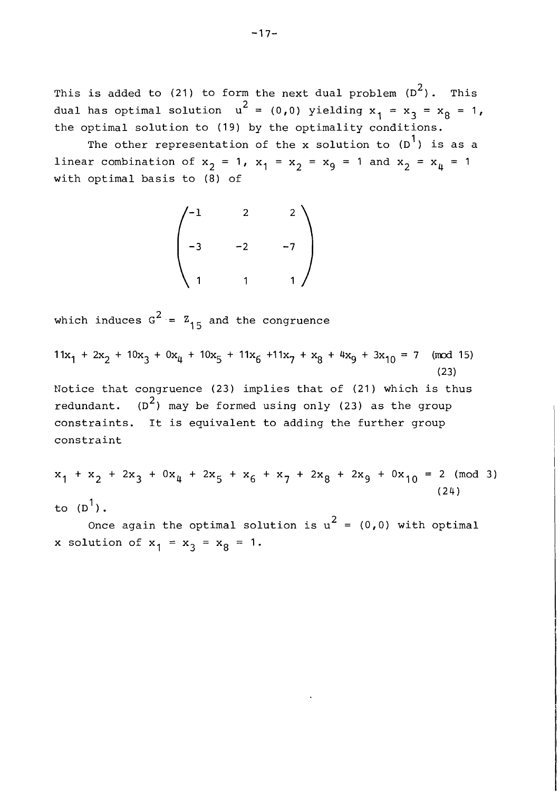This is added to (21) to form the next dual problem  $(D^2)$ . This dual has optimal solution  $u^2 = (0,0)$  yielding  $x_1 = x_2 = x_8 = 1$ , the optimal solution to (19) by the optimality conditions.

The other representation of the x solution to  $(D^1)$  is as a linear combination of  $x_2 = 1$ ,  $x_1 = x_2 = x_9 = 1$  and  $x_2 = x_9 = 1$ with optimal basis to (8) of

$$
\begin{pmatrix}\n-1 & 2 & 2 \\
-3 & -2 & -7 \\
1 & 1 & 1\n\end{pmatrix}
$$

which induces  $G^2 = Z_{15}$  and the congruence

 $11x_1 + 2x_2 + 10x_3 + 0x_4 + 10x_5 + 11x_6 + 11x_7 + x_8 + 4x_9 + 3x_{10} = 7$  (mod 15) (23)

Notice that congruence (23) implies that of (21) which is thus redundant.  $(D^2)$  may be formed using only (23) as the group constraints. It is equivalent to adding the further group constraint

$$
x_1 + x_2 + 2x_3 + 0x_4 + 2x_5 + x_6 + x_7 + 2x_8 + 2x_9 + 0x_{10} = 2 \pmod{3}
$$
  
to (D<sup>1</sup>).

Once again the optimal solution is  $u^2 = (0,0)$  with optimal x solution of  $x_1 = x_3 = x_8 = 1$ .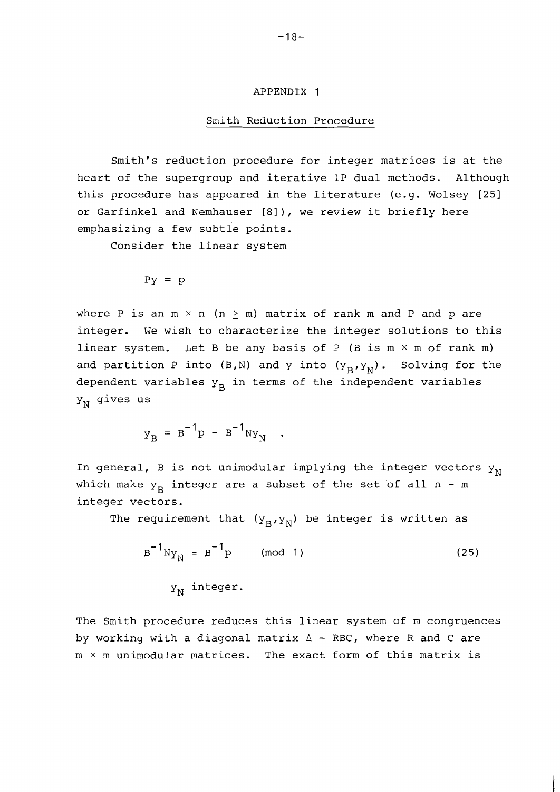#### APPENDIX 1

## Smith Reduction Procedure

Smith's reduction procedure for integer matrices is at the heart of the supergroup and iterative IP dual methods. Although this procedure has appeared in the literature (e.g. Wolsey [251 or Garfinkel and Nemhauser [8]), we review it briefly here emphasizing a few subtie points.

Consider the linear system

$$
Py = p
$$

where P is an  $m \times n$  ( $n \ge m$ ) matrix of rank m and P and p are integer. We wish to characterize the integer solutions to this linear system. Let B be any basis of P (B is  $m \times m$  of rank m) and partition P into (B,N) and y into  $(y_B, y_N)$ . Solving for the dependent variables  $y_B$  in terms of the independent variables  $Y_N$  gives us

$$
y_B = B^{-1}P - B^{-1}My_N
$$

In general, B is not unimodular implying the integer vectors  $y_N$ which make  $y_B$  integer are a subset of the set of all n - m integer vectors.

The requirement that  $(y_B, y_N)$  be integer is written as

$$
B^{-1}N_{Y_{\text{N}}} \equiv B^{-1}P \qquad \text{(mod 1)} \tag{25}
$$

 $Y_N$  integer.

The Smith procedure reduces this linear system of m congruences by working with a diagonal matrix  $\Delta$  = RBC, where R and C are  $m \times m$  unimodular matrices. The exact form of this matrix is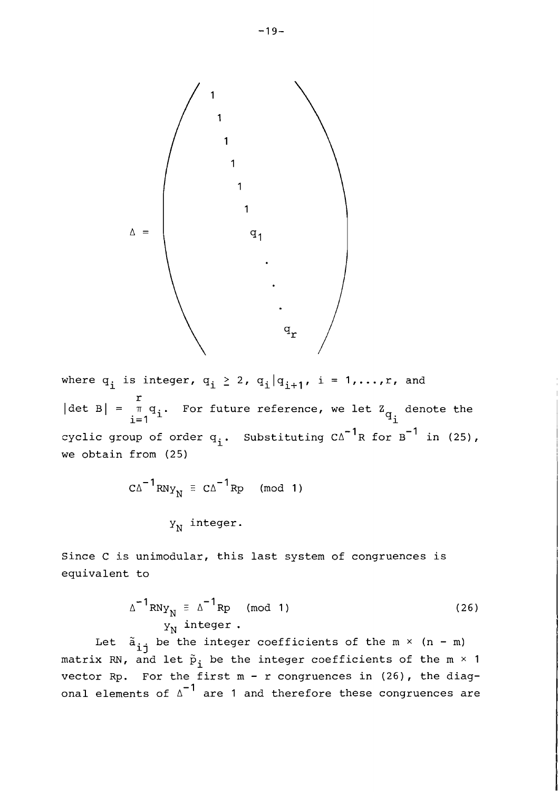

where  $q_i$  is integer,  $q_i \geq 2$ ,  $q_i|q_{i+1}$ ,  $i = 1,...,r$ , and r det B| =  $\pi q_i$ . For future reference, we let Z<sub>q<sub>i</sub></sub> denote the i=1 cyclic group of order  $q_i$ . Substituting  $CA^{-1}R$  for  $B^{-1}$  in (25), we obtain from (25)

 $C\Delta^{-1}RNy_N \equiv C\Delta^{-1}Rp \pmod{1}$ 

$$
\verb!y!_N \hbox{ integer.}
$$

Since C is unimodular, this last system of congruences is equivalent to

$$
\Delta^{-1} \text{RN}_{Y_{\text{N}}} \equiv \Delta^{-1} \text{Rp} \pmod{1}
$$
 (26)

Let  $\tilde{a}_{i,j}$  be the integer coefficients of the m × (n - m) matrix RN, and let  $\tilde{p}_i$  be the integer coefficients of the m  $\times$  1 vector Rp. For the first  $m - r$  congruences in (26), the diagonal elements of  $\Delta^{-1}$  are 1 and therefore these congruences are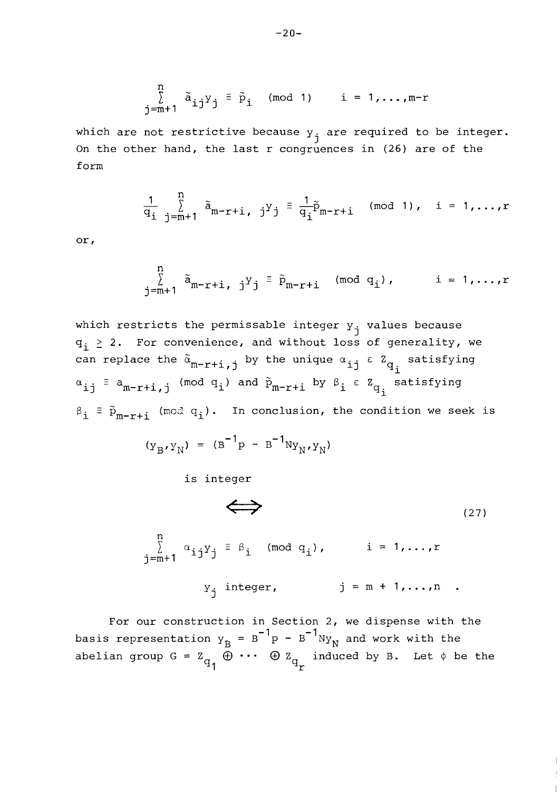$$
\sum_{j=m+1}^{n} \tilde{a}_{ij} y_j \equiv \tilde{p}_i \pmod{1} \qquad i = 1,...,m-r
$$

which are not restrictive because  $y_j$  are required to be integer.<br>On the other hand, the last r congruences in (26) are of the form

$$
\frac{1}{q_i} \sum_{j=m+1}^{n} \tilde{a}_{m-r+i}, \; j^y j \equiv \frac{1}{q_i} \tilde{p}_{m-r+i} \pmod{1}, \; i = 1, ..., r
$$

or,

$$
\sum_{j=m+1}^{n} \tilde{a}_{m-r+i, j}^{y} = \tilde{p}_{m-r+i} \pmod{q_{i}}, \qquad i = 1,...,r
$$

which restricts the permissable integer  $y_j$  values because  $q_i \geq 2$ . For convenience, and without loss of generality, we can replace the  $\tilde{\alpha}_{m-r+i,j}$  by the unique  $\alpha_{ij} \in Z_{q_i}$  satisfying  $\alpha_{ij}$  = a<sub>m-r+i,j</sub> (mod q<sub>i</sub>) and  $\tilde{p}_{m-r+i}$  by  $\beta_i$   $\epsilon$  Z<sub>q<sub>i</sub> satisfying</sub>  $\beta_{i}$  =  $\tilde{p}_{m-r+i}$  (mod q<sub>i</sub>). In conclusion, the condition we seek is

$$
(y_B, y_N) = (B^{-1}p - B^{-1}y_N, y_N)
$$

is integer

$$
\sum_{j=m+1}^{n} \alpha_{ij} y_j \equiv \beta_i \pmod{q_i}, \qquad i = 1,...,r
$$
  

$$
y_j \text{ integer}, \qquad j = m+1,...,n.
$$
 (27)

For our construction in Section 2, we dispense with the basis representation  $y_B = B^{-1}p - B^{-1}y_N$  and work with the abelian group G =  $z_{q_1} \oplus \cdots \oplus z_{q_r}$  induced by B. Let  $\phi$  be the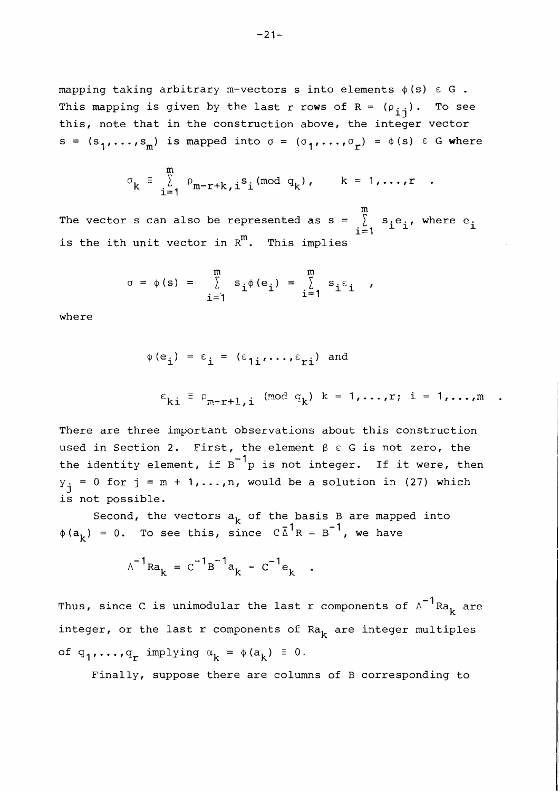mapping taking arbitrary m-vectors s into elements  $\phi$  (s)  $\varepsilon$  G .<br>This mapping is given by the last r rows of R = ( $\rho$ <sub>ij</sub>). To see this, note that in the construction above, the integer vector  $s = (s_1, \ldots, s_m)$  is mapped into  $\sigma = (\sigma_1, \ldots, \sigma_r) = \phi(s) \in G$  where

$$
\sigma_k \equiv \sum_{i=1}^m \rho_{m-r+k,i} s_i \pmod{q_k}, \qquad k = 1, \ldots, r.
$$

The vector s can also be represented as  $\texttt{s} = \begin{bmatrix} \texttt{m} \\ \texttt{c} \end{bmatrix}$   $\texttt{s}_i \texttt{e}_i$ , where  $\texttt{e}_i$  $i=1$ is the ith unit vector in  $R^m$ . This implies

$$
\sigma = \phi(s) = \sum_{i=1}^{m} s_{i} \phi(e_{i}) = \sum_{i=1}^{m} s_{i} \varepsilon_{i}
$$

where

$$
\phi(e_i) = \varepsilon_i = (\varepsilon_{1i}, \dots, \varepsilon_{ri}) \text{ and}
$$
  

$$
\varepsilon_{ki} \equiv \rho_{m-r+1, i} \pmod{q_k} \quad k = 1, \dots, r; \quad i = 1, \dots, m
$$

There are three important observations about this construction used in Section 2. First, the element  $\beta \epsilon G$  is not zero, the the identity element, if  $B^{-1}p$  is not integer. If it were, then  $Y_j = 0$  for  $j = m + 1, ..., n$ , would be a solution in (27) which is not possible.

Second, the vectors  $a_k$  of the basis B are mapped into  $\phi(a_k)$  = 0. To see this, since C $\overline{\Delta}^1R = B^{-1}$ , we have

$$
\Delta^{-1} \text{Ra}_{k} = c^{-1} B^{-1} a_{k} - c^{-1} e_{k}.
$$

Thus, since C is unimodular the last r components of  $\Delta^{-1}Ra_{k}$  are integer, or the last r components of  $Ra_k$  are integer multiples of  $q_1, \ldots, q_r$  implying  $\alpha_k = \phi(a_k) \equiv 0$ .

Finally, suppose there are columns of B corresponding to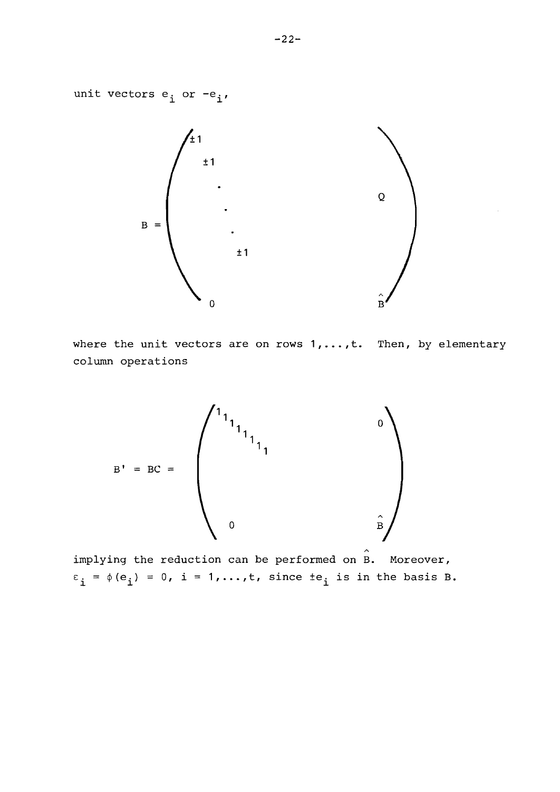unit vectors e<sub>j</sub> or -e<sub>i</sub>,



**where the unit vectors are on rows 1,** ..., **t. Then, by elementary column operations** 



**implying the reduction can be performed on B. Moreover,**   $E_{\textbf{i}} = \phi(e_{\textbf{i}}) = 0$ , **i** = 1,..., t, since  $\pm e_{\textbf{i}}$  is in the basis B.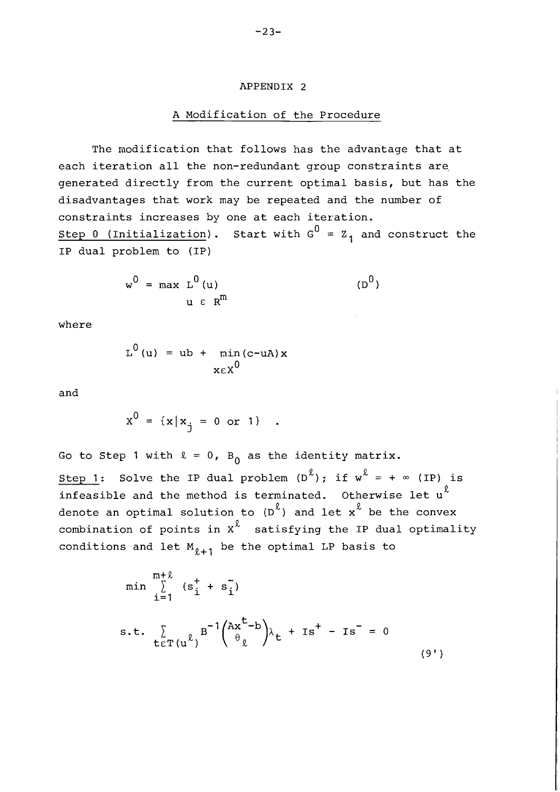### APPENDIX 2

## A Modification of the Procedure

The modification that follows has the advantage that at each iteration all the non-redundant group constraints are generated directly from the current optimal basis, but has the disadvantages that work may be repeated and the number of constraints increases by one at each iteration. Step 0 (Initialization). Start with  $G^0 = Z_1$  and construct the IP dual problem to (IP)

$$
w^{0} = \max_{u \in R^{m}} L^{0}(u)
$$
 (D<sup>0</sup>)

where

$$
L^{0}(u) = ub + min(c-uA)x
$$

$$
x \in X^{0}
$$

and

$$
x^0 = \{x \mid x_j = 0 \text{ or } 1\}
$$

Go to Step 1 with  $\ell = 0$ , B<sub>0</sub> as the identity matrix.

Step 1: Solve the IP dual problem  $(D^{\ell})$ ; if  $w^{\ell} = + \infty$  (IP) is infeasible and the method is terminated. Otherwise let  $\mathfrak{u}^{\ell}$ denote an optimal solution to  $(D^{\ell})$  and let  $x^{\ell}$  be the convex combination of points in  $x^{\ell}$  satisfying the IP dual optimality conditions and let  $M_{\ell+1}$  be the optimal LP basis to

$$
\min_{\mathbf{i}=1}^{m+\ell} (s_{\mathbf{i}}^{+} + s_{\mathbf{i}}^{-})
$$
\ns.t. 
$$
\sum_{\mathbf{t} \in \mathbf{T}(\mathbf{u}^{\ell})} B^{-1} \left( A x_{\mathbf{t}}^{+} - b \right) \lambda_{\mathbf{t}} + Is^{+} - Is^{-} = 0
$$
\n(9')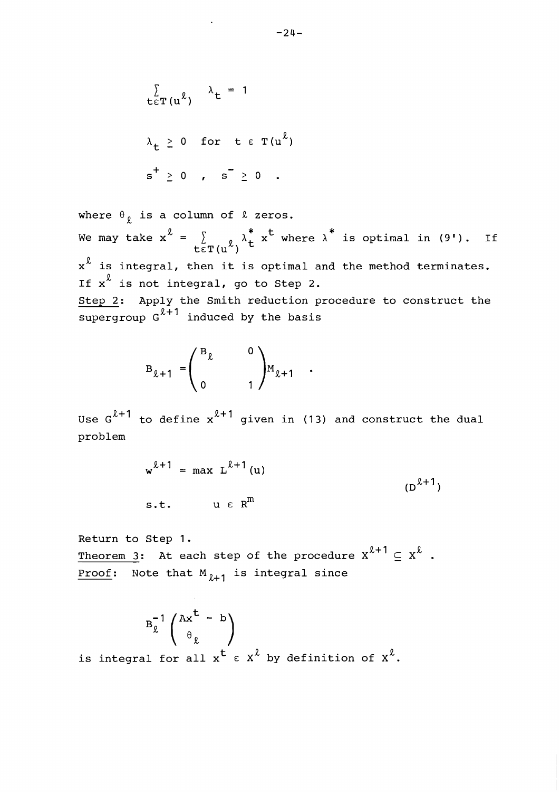$$
\sum_{t \in T(u^{\ell})} \lambda_t = 1
$$
  
\n
$$
\lambda_t \ge 0 \quad \text{for} \quad t \in T(u^{\ell})
$$
  
\n
$$
s^+ \ge 0 \quad , \quad s^- \ge 0 \quad .
$$

where  $\theta_{\theta}$  is a column of  $\ell$  zeros. We may take  $x^{\ell} = \int_{0}^{x} x^* dx$  where  $x^*$  is optimal in (9'). If  $\bar{\epsilon}$ T(u $^{\chi}$ )  $x^{\ell}$  is integral, then it is optimal and the method terminates. If  $x^{\ell}$  is not integral, go to Step 2. Step 2: Apply the Smith reduction procedure to construct the supergroup  $G^{\ell+1}$  induced by the basis

$$
B_{\ell+1} = \begin{pmatrix} B_{\ell} & 0 \\ 0 & 1 \end{pmatrix} M_{\ell+1} \quad .
$$

Use  $G^{\ell+1}$  to define  $x^{\ell+1}$  given in (13) and construct the dual problem

$$
w^{\ell+1} = \max L^{\ell+1}(u)
$$
  
s.t. 
$$
u \in R^m
$$
 (D<sup>l+1</sup>)

Return to Step 1. Theorem 3: At each step of the procedure  $x^{l+1} \subseteq x^{l}$ . Proof: Note that  $M_{\ell+1}$  is integral since

$$
B_{\ell}^{-1}\left(\begin{matrix} Ax^{t} & -b \\ \theta_{\ell} & \cdot \end{matrix}\right)
$$

is integral for all  $x^t \varepsilon x^{\ell}$  by definition of  $x^{\ell}$ .

 $-24-$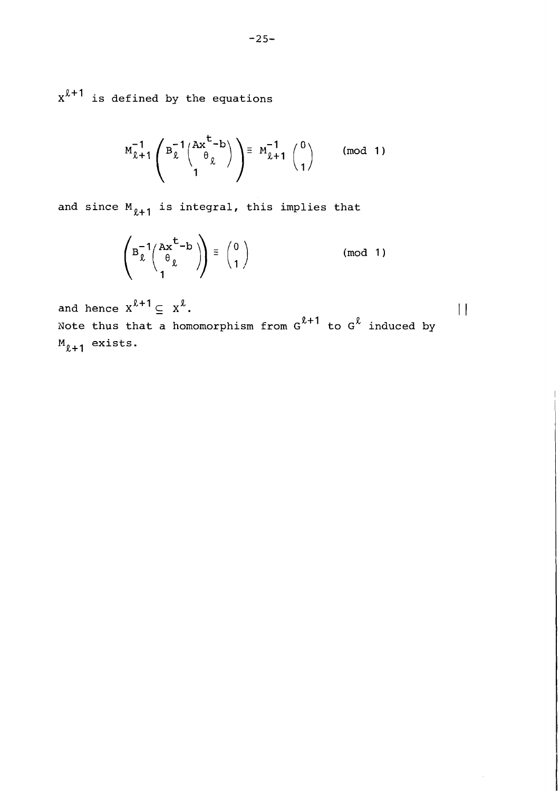$x^{\ell+1}$  is defined by the equations

$$
M_{\ell+1}^{-1}\left(\begin{array}{c}B_{\ell}^{-1}\left(\begin{array}{c}Ax^{t}-b\\ \theta_{\ell}\end{array}\right)\\1\end{array}\right)\equiv M_{\ell+1}^{-1}\left(\begin{array}{c}0\\1\end{array}\right)\qquad\text{(mod 1)}
$$

and since M<sub>2+1</sub> is integral, this implies that

$$
\begin{pmatrix} B_{\ell}^{-1} \begin{pmatrix} Ax^{t} - b \\ \theta_{\ell} \end{pmatrix} \end{pmatrix} \equiv \begin{pmatrix} 0 \\ 1 \end{pmatrix} \qquad (\text{mod } 1)
$$

and hence  $X^{\ell+1} \subseteq X^{\ell}$ . Note thus that a homomorphism from  $G^{\ell+1}$  to  $G^{\ell}$  induced by  $M_{\ell+1}$  exists.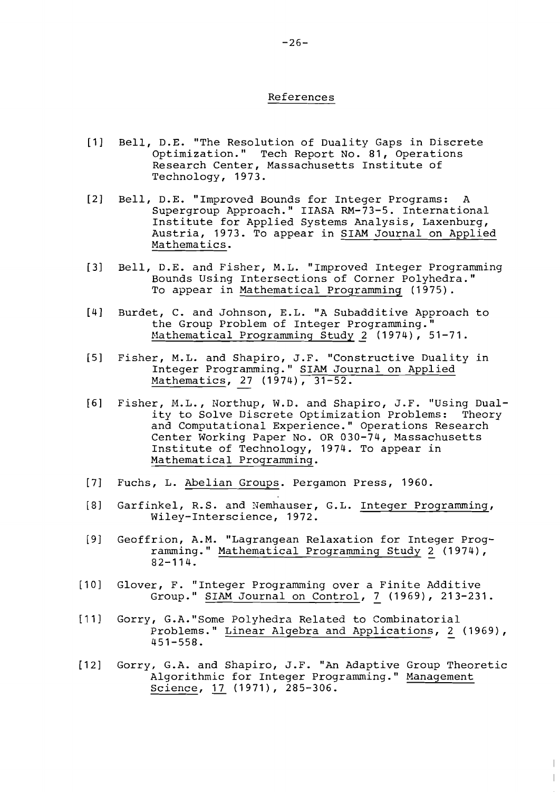#### References

- [I] Bell, D.E. "The Resolution of Duality Gaps in Discrete Optimization." Tech Report No. 81, Operations Research Center, Massachusetts Institute of Technology, 1973.
- [2] Bell, D.E. "Improved Bounds for Integer Programs: A Supergroup Approach." IIASA RM-73-5. International Institute for Applied Systems Analysis, Laxenburg, Austria, 1973. To appear in SIAM Journal on Applied Mathematics.
- [3] Bell, D.E. and Fisher, M.L. "Improved Integer Programming Bounds Using Intersections of Corner Polyhedra." To appear in Mathematical Programming (1975).
- [4] Burdet, C. and Johnson, E.L. "A Subadditive Approach to the Group Problem of Integer Programming." Mathematical Programming Study 2 (1974), 51-71.
- [5] Fisher, M.L. and Shapiro, J.F. "Constructive Duality in Integer Programing." SIAM Journal on Applied r, M.L. and Shapi:<br>Integer Programmin<br><u>Mathematics</u>, <u>2</u>7 ( Mathematics, 27 (1974), 31-52.
- [6] Fisher, M.L., Northup, W.D. and Shapiro, J.F. "Using Dual-<br>ity to Solve Discrete Optimization Problems: Theory ity to Solve Discrete Optimization Problems: and Computational Experience." Operations Research Center Working Paper No. OR 030-74, Massachusetts Institute of Technology, 1974. To appear in Mathematical Programming.
- [7] Fuchs, L. Abelian Groups. Pergamon Press, 1960.
- [8] Garfinkel, R.S. and Nemhauser, G.L. Integer Programming, Wiley-Interscience, 1972.
- [9] Geoffrion, A.M. "Lagrangean Relaxation for Integer Prog-<br>ramming." <u>Mathematical Programming Study</u> 2 (1974),<br>82-114.
- [10] Glover, F. "Integer Programming over a Finite Additive Group." SIAM Journal on Control, 7 (1969), 213-231.
- [11] Gorry, G.A."Some Polyhedra Related to Combinatorial Problems." Linear Algebra and Applications, 2 (1969), 451-558.
- [I21 Gorry, G.A. and Shapiro, J.F. "An Adaptive Group Theoretic Algorithmic for Integer Programming." Management , G.A. and Shapiro, J.F. "An<br>Algorithmic for Integer Progr<br><u>Science</u>, <u>17</u> (1971), 285-306.

 $\begin{array}{c} \hline \end{array}$  $\vert$